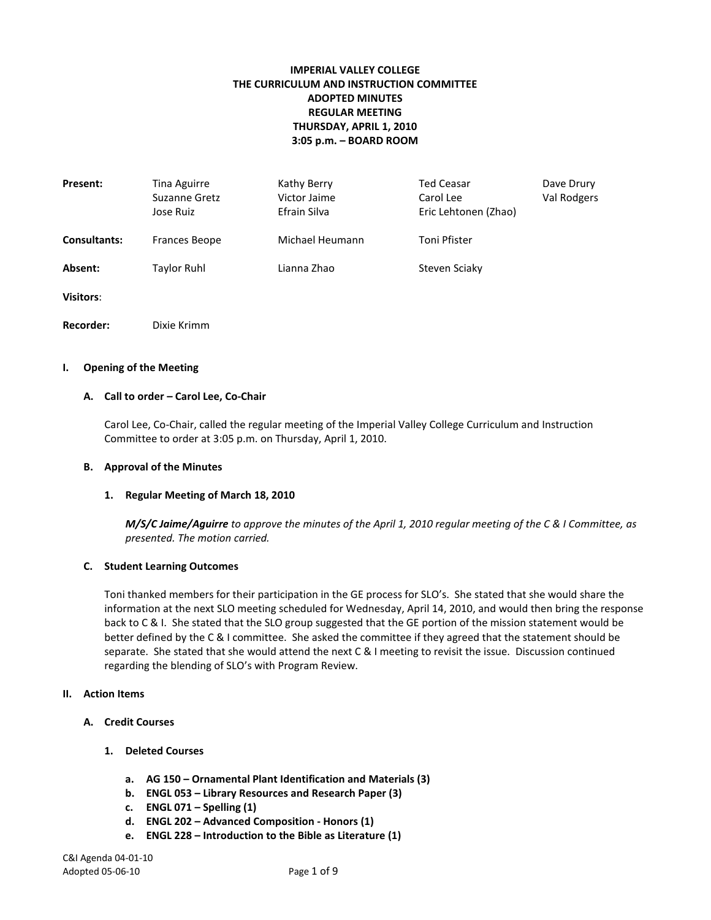# **IMPERIAL VALLEY COLLEGE THE CURRICULUM AND INSTRUCTION COMMITTEE ADOPTED MINUTES REGULAR MEETING THURSDAY, APRIL 1, 2010 3:05 p.m. – BOARD ROOM**

| Present:            | Tina Aguirre<br>Suzanne Gretz<br>Jose Ruiz | Kathy Berry<br>Victor Jaime<br>Efrain Silva | <b>Ted Ceasar</b><br>Carol Lee<br>Eric Lehtonen (Zhao) | Dave Drury<br>Val Rodgers |
|---------------------|--------------------------------------------|---------------------------------------------|--------------------------------------------------------|---------------------------|
| <b>Consultants:</b> | Frances Beope                              | Michael Heumann                             | Toni Pfister                                           |                           |
| Absent:             | <b>Taylor Ruhl</b>                         | Lianna Zhao                                 | Steven Sciaky                                          |                           |
| <b>Visitors:</b>    |                                            |                                             |                                                        |                           |
| Recorder:           | Dixie Krimm                                |                                             |                                                        |                           |

#### **I. Opening of the Meeting**

#### **A. Call to order – Carol Lee, Co-Chair**

Carol Lee, Co-Chair, called the regular meeting of the Imperial Valley College Curriculum and Instruction Committee to order at 3:05 p.m. on Thursday, April 1, 2010.

#### **B. Approval of the Minutes**

#### **1. Regular Meeting of March 18, 2010**

*M/S/C Jaime/Aguirre to approve the minutes of the April 1, 2010 regular meeting of the C & I Committee, as presented. The motion carried.*

#### **C. Student Learning Outcomes**

Toni thanked members for their participation in the GE process for SLO's. She stated that she would share the information at the next SLO meeting scheduled for Wednesday, April 14, 2010, and would then bring the response back to C & I. She stated that the SLO group suggested that the GE portion of the mission statement would be better defined by the C & I committee. She asked the committee if they agreed that the statement should be separate. She stated that she would attend the next C & I meeting to revisit the issue. Discussion continued regarding the blending of SLO's with Program Review.

#### **II. Action Items**

- **A. Credit Courses**
	- **1. Deleted Courses**
		- **a. AG 150 – Ornamental Plant Identification and Materials (3)**
		- **b. ENGL 053 – Library Resources and Research Paper (3)**
		- **c. ENGL 071 – Spelling (1)**
		- **d. ENGL 202 – Advanced Composition - Honors (1)**
		- **e. ENGL 228 – Introduction to the Bible as Literature (1)**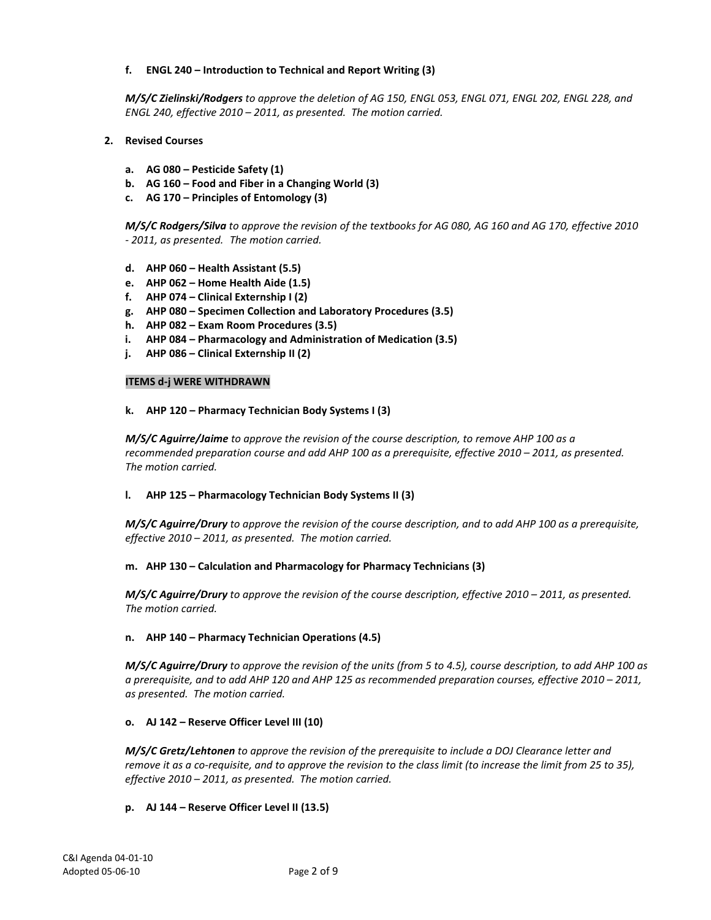# **f. ENGL 240 – Introduction to Technical and Report Writing (3)**

*M/S/C Zielinski/Rodgers to approve the deletion of AG 150, ENGL 053, ENGL 071, ENGL 202, ENGL 228, and ENGL 240, effective 2010 – 2011, as presented. The motion carried.*

- **2. Revised Courses**
	- **a. AG 080 – Pesticide Safety (1)**
	- **b. AG 160 – Food and Fiber in a Changing World (3)**
	- **c. AG 170 – Principles of Entomology (3)**

*M/S/C Rodgers/Silva to approve the revision of the textbooks for AG 080, AG 160 and AG 170, effective 2010 - 2011, as presented. The motion carried.*

- **d. AHP 060 – Health Assistant (5.5)**
- **e. AHP 062 – Home Health Aide (1.5)**
- **f. AHP 074 – Clinical Externship I (2)**
- **g. AHP 080 – Specimen Collection and Laboratory Procedures (3.5)**
- **h. AHP 082 – Exam Room Procedures (3.5)**
- **i. AHP 084 – Pharmacology and Administration of Medication (3.5)**
- **j. AHP 086 – Clinical Externship II (2)**

### **ITEMS d-j WERE WITHDRAWN**

### **k. AHP 120 – Pharmacy Technician Body Systems I (3)**

*M/S/C Aguirre/Jaime to approve the revision of the course description, to remove AHP 100 as a recommended preparation course and add AHP 100 as a prerequisite, effective 2010 – 2011, as presented. The motion carried.*

## **l. AHP 125 – Pharmacology Technician Body Systems II (3)**

*M/S/C Aguirre/Drury to approve the revision of the course description, and to add AHP 100 as a prerequisite, effective 2010 – 2011, as presented. The motion carried.*

## **m. AHP 130 – Calculation and Pharmacology for Pharmacy Technicians (3)**

*M/S/C Aguirre/Drury to approve the revision of the course description, effective 2010 – 2011, as presented. The motion carried.*

## **n. AHP 140 – Pharmacy Technician Operations (4.5)**

*M/S/C Aguirre/Drury to approve the revision of the units (from 5 to 4.5), course description, to add AHP 100 as a prerequisite, and to add AHP 120 and AHP 125 as recommended preparation courses, effective 2010 – 2011, as presented. The motion carried.*

## **o. AJ 142 – Reserve Officer Level III (10)**

*M/S/C Gretz/Lehtonen to approve the revision of the prerequisite to include a DOJ Clearance letter and remove it as a co-requisite, and to approve the revision to the class limit (to increase the limit from 25 to 35), effective 2010 – 2011, as presented. The motion carried.*

## **p. AJ 144 – Reserve Officer Level II (13.5)**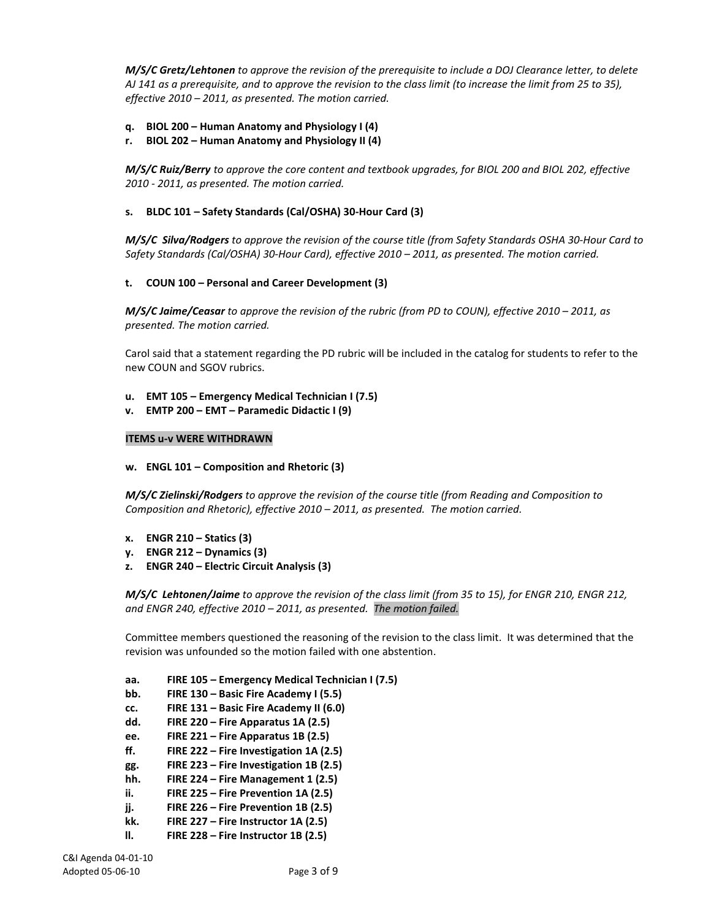*M/S/C Gretz/Lehtonen to approve the revision of the prerequisite to include a DOJ Clearance letter, to delete AJ 141 as a prerequisite, and to approve the revision to the class limit (to increase the limit from 25 to 35), effective 2010 – 2011, as presented. The motion carried.*

- **q. BIOL 200 – Human Anatomy and Physiology I (4)**
- **r. BIOL 202 – Human Anatomy and Physiology II (4)**

*M/S/C Ruiz/Berry to approve the core content and textbook upgrades, for BIOL 200 and BIOL 202, effective 2010 - 2011, as presented. The motion carried.*

### **s. BLDC 101 – Safety Standards (Cal/OSHA) 30-Hour Card (3)**

*M/S/C Silva/Rodgers to approve the revision of the course title (from Safety Standards OSHA 30-Hour Card to Safety Standards (Cal/OSHA) 30-Hour Card), effective 2010 – 2011, as presented. The motion carried.*

#### **t. COUN 100 – Personal and Career Development (3)**

*M/S/C Jaime/Ceasar to approve the revision of the rubric (from PD to COUN), effective 2010 – 2011, as presented. The motion carried.*

Carol said that a statement regarding the PD rubric will be included in the catalog for students to refer to the new COUN and SGOV rubrics.

- **u. EMT 105 – Emergency Medical Technician I (7.5)**
- **v. EMTP 200 – EMT – Paramedic Didactic I (9)**

#### **ITEMS u-v WERE WITHDRAWN**

**w. ENGL 101 – Composition and Rhetoric (3)**

*M/S/C Zielinski/Rodgers to approve the revision of the course title (from Reading and Composition to Composition and Rhetoric), effective 2010 – 2011, as presented. The motion carried.*

- **x. ENGR 210 – Statics (3)**
- **y. ENGR 212 – Dynamics (3)**
- **z. ENGR 240 – Electric Circuit Analysis (3)**

*M/S/C Lehtonen/Jaime to approve the revision of the class limit (from 35 to 15), for ENGR 210, ENGR 212, and ENGR 240, effective 2010 – 2011, as presented. The motion failed.*

Committee members questioned the reasoning of the revision to the class limit. It was determined that the revision was unfounded so the motion failed with one abstention.

**aa. FIRE 105 – Emergency Medical Technician I (7.5)**

- **bb. FIRE 130 – Basic Fire Academy I (5.5)**
- **cc. FIRE 131 – Basic Fire Academy II (6.0)**
- **dd. FIRE 220 – Fire Apparatus 1A (2.5)**
- **ee. FIRE 221 – Fire Apparatus 1B (2.5)**
- **ff. FIRE 222 – Fire Investigation 1A (2.5)**
- **gg. FIRE 223 – Fire Investigation 1B (2.5)**
- **hh. FIRE 224 – Fire Management 1 (2.5)**
- **ii. FIRE 225 – Fire Prevention 1A (2.5)**
- **jj. FIRE 226 – Fire Prevention 1B (2.5)**
- **kk. FIRE 227 – Fire Instructor 1A (2.5)**
- **ll. FIRE 228 – Fire Instructor 1B (2.5)**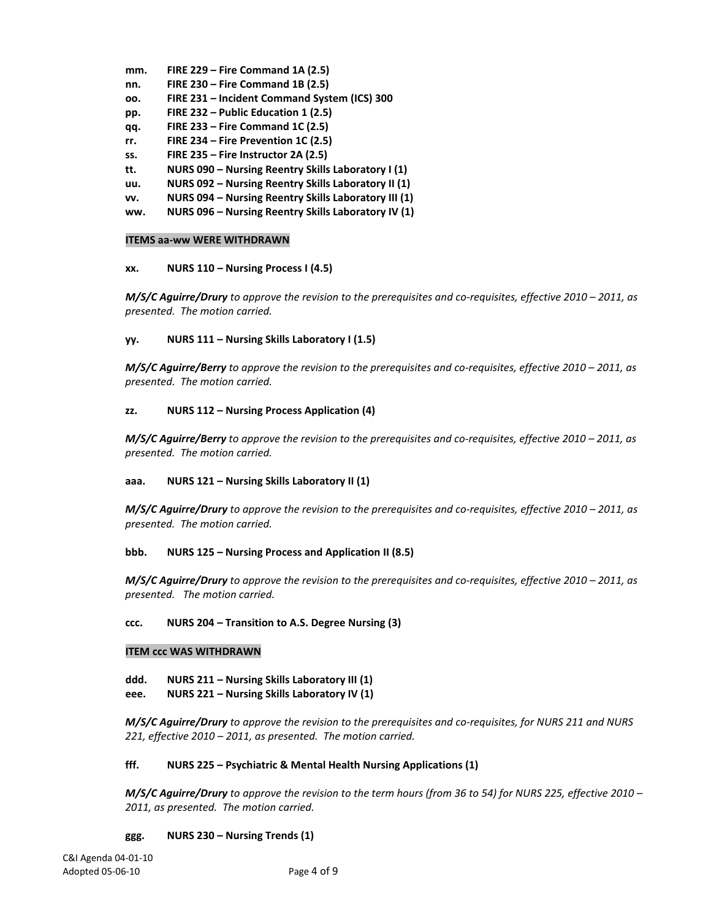- **mm. FIRE 229 – Fire Command 1A (2.5)**
- **nn. FIRE 230 – Fire Command 1B (2.5)**
- **oo. FIRE 231 – Incident Command System (ICS) 300**
- **pp. FIRE 232 – Public Education 1 (2.5)**
- **qq. FIRE 233 – Fire Command 1C (2.5)**
- **rr. FIRE 234 – Fire Prevention 1C (2.5)**
- **ss. FIRE 235 – Fire Instructor 2A (2.5)**
- **tt. NURS 090 – Nursing Reentry Skills Laboratory I (1)**
- **uu. NURS 092 – Nursing Reentry Skills Laboratory II (1)**
- **vv. NURS 094 – Nursing Reentry Skills Laboratory III (1)**
- **ww. NURS 096 – Nursing Reentry Skills Laboratory IV (1)**

#### **ITEMS aa-ww WERE WITHDRAWN**

#### **xx. NURS 110 – Nursing Process I (4.5)**

*M/S/C Aguirre/Drury to approve the revision to the prerequisites and co-requisites, effective 2010 – 2011, as presented. The motion carried.*

### **yy. NURS 111 – Nursing Skills Laboratory I (1.5)**

*M/S/C Aguirre/Berry to approve the revision to the prerequisites and co-requisites, effective 2010 – 2011, as presented. The motion carried.*

### **zz. NURS 112 – Nursing Process Application (4)**

*M/S/C Aguirre/Berry to approve the revision to the prerequisites and co-requisites, effective 2010 – 2011, as presented. The motion carried.*

#### **aaa. NURS 121 – Nursing Skills Laboratory II (1)**

*M/S/C Aguirre/Drury to approve the revision to the prerequisites and co-requisites, effective 2010 – 2011, as presented. The motion carried.*

#### **bbb. NURS 125 – Nursing Process and Application II (8.5)**

*M/S/C Aguirre/Drury to approve the revision to the prerequisites and co-requisites, effective 2010 – 2011, as presented. The motion carried.*

**ccc. NURS 204 – Transition to A.S. Degree Nursing (3)**

#### **ITEM ccc WAS WITHDRAWN**

**ddd. NURS 211 – Nursing Skills Laboratory III (1)**

**eee. NURS 221 – Nursing Skills Laboratory IV (1)**

*M/S/C Aguirre/Drury to approve the revision to the prerequisites and co-requisites, for NURS 211 and NURS 221, effective 2010 – 2011, as presented. The motion carried.*

#### **fff. NURS 225 – Psychiatric & Mental Health Nursing Applications (1)**

*M/S/C Aguirre/Drury to approve the revision to the term hours (from 36 to 54) for NURS 225, effective 2010 – 2011, as presented. The motion carried.*

#### **ggg. NURS 230 – Nursing Trends (1)**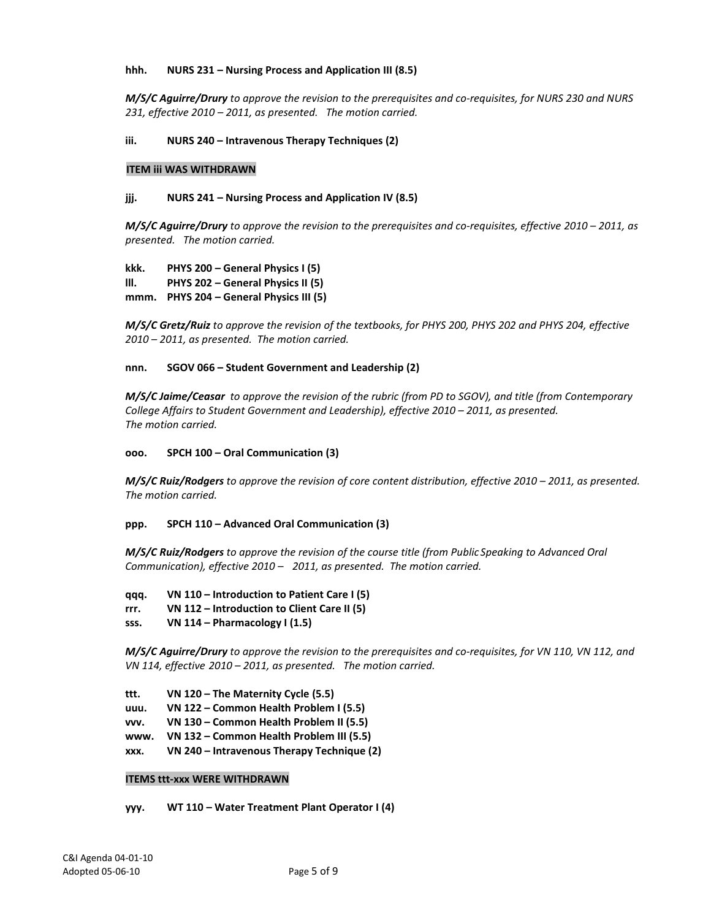### **hhh. NURS 231 – Nursing Process and Application III (8.5)**

*M/S/C Aguirre/Drury to approve the revision to the prerequisites and co-requisites, for NURS 230 and NURS 231, effective 2010 – 2011, as presented. The motion carried.*

### **iii. NURS 240 – Intravenous Therapy Techniques (2)**

#### **ITEM iii WAS WITHDRAWN**

### **jjj. NURS 241 – Nursing Process and Application IV (8.5)**

*M/S/C Aguirre/Drury to approve the revision to the prerequisites and co-requisites, effective 2010 – 2011, as presented. The motion carried.*

**kkk. PHYS 200 – General Physics I (5) lll. PHYS 202 – General Physics II (5) mmm. PHYS 204 – General Physics III (5)**

*M/S/C Gretz/Ruiz to approve the revision of the textbooks, for PHYS 200, PHYS 202 and PHYS 204, effective 2010 – 2011, as presented. The motion carried.*

### **nnn. SGOV 066 – Student Government and Leadership (2)**

*M/S/C Jaime/Ceasar to approve the revision of the rubric (from PD to SGOV), and title (from Contemporary College Affairs to Student Government and Leadership), effective 2010 – 2011, as presented. The motion carried.*

#### **ooo. SPCH 100 – Oral Communication (3)**

*M/S/C Ruiz/Rodgers to approve the revision of core content distribution, effective 2010 – 2011, as presented. The motion carried.*

#### **ppp. SPCH 110 – Advanced Oral Communication (3)**

*M/S/C Ruiz/Rodgers to approve the revision of the course title (from Public Speaking to Advanced Oral Communication), effective 2010 – 2011, as presented. The motion carried.*

**qqq. VN 110 – Introduction to Patient Care I (5)**

**rrr. VN 112 – Introduction to Client Care II (5)**

**sss. VN 114 – Pharmacology I (1.5)**

*M/S/C Aguirre/Drury to approve the revision to the prerequisites and co-requisites, for VN 110, VN 112, and VN 114, effective 2010 – 2011, as presented. The motion carried.*

**ttt. VN 120 – The Maternity Cycle (5.5)**

**uuu. VN 122 – Common Health Problem I (5.5)**

**vvv. VN 130 – Common Health Problem II (5.5)**

**www. VN 132 – Common Health Problem III (5.5)**

**xxx. VN 240 – Intravenous Therapy Technique (2)**

#### **ITEMS ttt-xxx WERE WITHDRAWN**

**yyy. WT 110 – Water Treatment Plant Operator I (4)**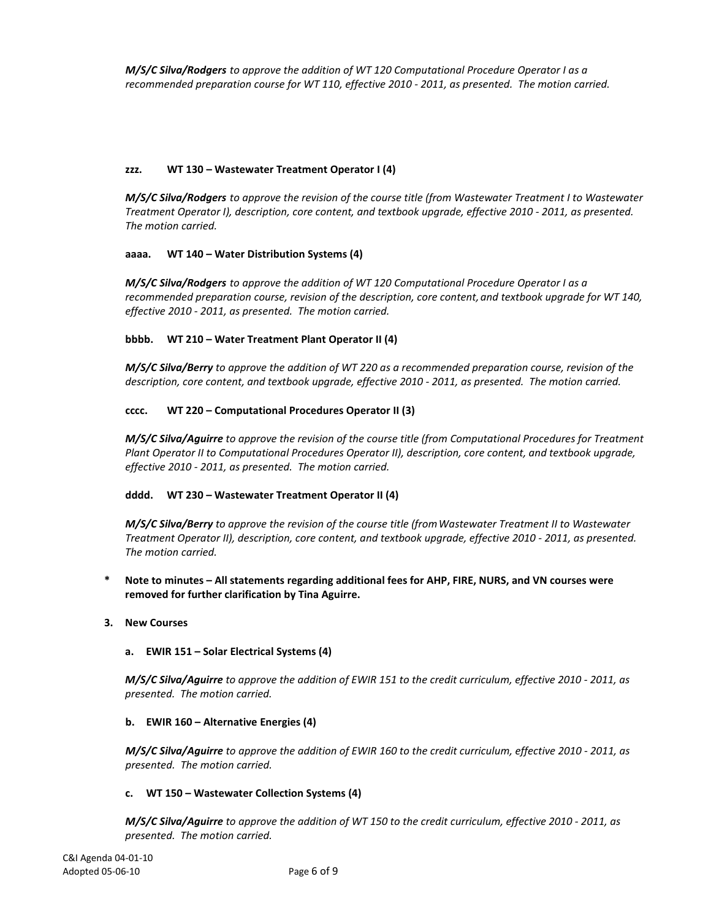*M/S/C Silva/Rodgers to approve the addition of WT 120 Computational Procedure Operator I as a recommended preparation course for WT 110, effective 2010 - 2011, as presented. The motion carried.*

## **zzz. WT 130 – Wastewater Treatment Operator I (4)**

*M/S/C Silva/Rodgers to approve the revision of the course title (from Wastewater Treatment I to Wastewater Treatment Operator I), description, core content, and textbook upgrade, effective 2010 - 2011, as presented. The motion carried.*

## **aaaa. WT 140 – Water Distribution Systems (4)**

*M/S/C Silva/Rodgers to approve the addition of WT 120 Computational Procedure Operator I as a recommended preparation course, revision of the description, core content,and textbook upgrade for WT 140, effective 2010 - 2011, as presented. The motion carried.*

# **bbbb. WT 210 – Water Treatment Plant Operator II (4)**

*M/S/C Silva/Berry to approve the addition of WT 220 as a recommended preparation course, revision of the description, core content, and textbook upgrade, effective 2010 - 2011, as presented. The motion carried.*

# **cccc. WT 220 – Computational Procedures Operator II (3)**

*M/S/C Silva/Aguirre to approve the revision of the course title (from Computational Procedures for Treatment Plant Operator II to Computational Procedures Operator II), description, core content, and textbook upgrade, effective 2010 - 2011, as presented. The motion carried.*

## **dddd. WT 230 – Wastewater Treatment Operator II (4)**

*M/S/C Silva/Berry to approve the revision of the course title (fromWastewater Treatment II to Wastewater Treatment Operator II), description, core content, and textbook upgrade, effective 2010 - 2011, as presented. The motion carried.*

- **\* Note to minutes – All statements regarding additional fees for AHP, FIRE, NURS, and VN courses were removed for further clarification by Tina Aguirre.**
- **3. New Courses**

## **a. EWIR 151 – Solar Electrical Systems (4)**

*M/S/C Silva/Aguirre to approve the addition of EWIR 151 to the credit curriculum, effective 2010 - 2011, as presented. The motion carried.*

## **b. EWIR 160 – Alternative Energies (4)**

*M/S/C Silva/Aguirre to approve the addition of EWIR 160 to the credit curriculum, effective 2010 - 2011, as presented. The motion carried.*

## **c. WT 150 – Wastewater Collection Systems (4)**

*M/S/C Silva/Aguirre to approve the addition of WT 150 to the credit curriculum, effective 2010 - 2011, as presented. The motion carried.*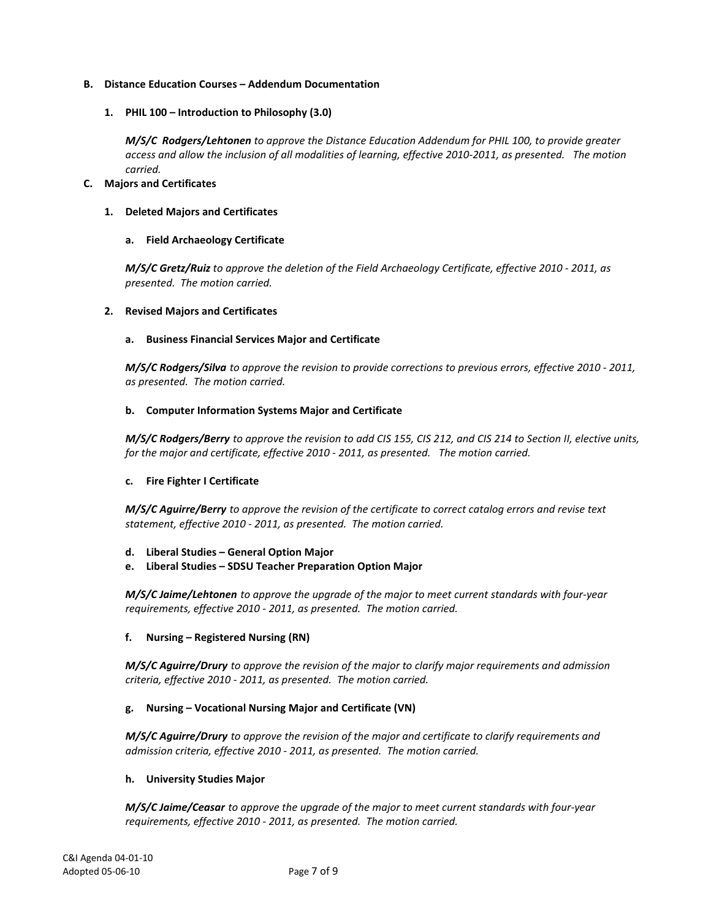## **B. Distance Education Courses – Addendum Documentation**

### **1. PHIL 100 – Introduction to Philosophy (3.0)**

*M/S/C Rodgers/Lehtonen to approve the Distance Education Addendum for PHIL 100, to provide greater access and allow the inclusion of all modalities of learning, effective 2010-2011, as presented. The motion carried.*

#### **C. Majors and Certificates**

### **1. Deleted Majors and Certificates**

## **a. Field Archaeology Certificate**

*M/S/C Gretz/Ruiz to approve the deletion of the Field Archaeology Certificate, effective 2010 - 2011, as presented. The motion carried.*

### **2. Revised Majors and Certificates**

### **a. Business Financial Services Major and Certificate**

*M/S/C Rodgers/Silva to approve the revision to provide corrections to previous errors, effective 2010 - 2011, as presented. The motion carried.*

### **b. Computer Information Systems Major and Certificate**

*M/S/C Rodgers/Berry to approve the revision to add CIS 155, CIS 212, and CIS 214 to Section II, elective units, for the major and certificate, effective 2010 - 2011, as presented. The motion carried.*

## **c. Fire Fighter I Certificate**

*M/S/C Aguirre/Berry to approve the revision of the certificate to correct catalog errors and revise text statement, effective 2010 - 2011, as presented. The motion carried.*

## **d. Liberal Studies – General Option Major**

**e. Liberal Studies – SDSU Teacher Preparation Option Major** 

*M/S/C Jaime/Lehtonen to approve the upgrade of the major to meet current standards with four-year requirements, effective 2010 - 2011, as presented. The motion carried.*

## **f. Nursing – Registered Nursing (RN)**

*M/S/C Aguirre/Drury to approve the revision of the major to clarify major requirements and admission criteria, effective 2010 - 2011, as presented. The motion carried.*

## **g. Nursing – Vocational Nursing Major and Certificate (VN)**

*M/S/C Aguirre/Drury to approve the revision of the major and certificate to clarify requirements and admission criteria, effective 2010 - 2011, as presented. The motion carried.*

#### **h. University Studies Major**

*M/S/C Jaime/Ceasar to approve the upgrade of the major to meet current standards with four-year requirements, effective 2010 - 2011, as presented. The motion carried.*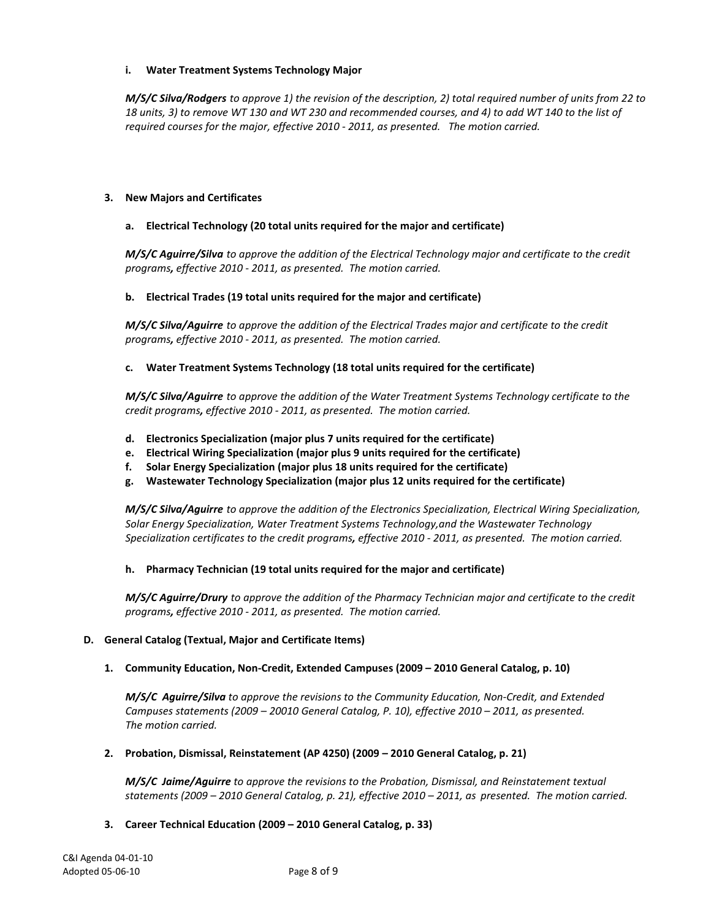# **i. Water Treatment Systems Technology Major**

*M/S/C Silva/Rodgers to approve 1) the revision of the description, 2) total required number of units from 22 to 18 units, 3) to remove WT 130 and WT 230 and recommended courses, and 4) to add WT 140 to the list of required courses for the major, effective 2010 - 2011, as presented. The motion carried.*

# **3. New Majors and Certificates**

# **a. Electrical Technology (20 total units required for the major and certificate)**

*M/S/C Aguirre/Silva to approve the addition of the Electrical Technology major and certificate to the credit programs, effective 2010 - 2011, as presented. The motion carried.*

## **b. Electrical Trades (19 total units required for the major and certificate)**

*M/S/C Silva/Aguirre to approve the addition of the Electrical Trades major and certificate to the credit programs, effective 2010 - 2011, as presented. The motion carried.*

# **c. Water Treatment Systems Technology (18 total units required for the certificate)**

*M/S/C Silva/Aguirre to approve the addition of the Water Treatment Systems Technology certificate to the credit programs, effective 2010 - 2011, as presented. The motion carried.*

- **d. Electronics Specialization (major plus 7 units required for the certificate)**
- **e. Electrical Wiring Specialization (major plus 9 units required for the certificate)**
- **f. Solar Energy Specialization (major plus 18 units required for the certificate)**
- **g. Wastewater Technology Specialization (major plus 12 units required for the certificate)**

*M/S/C Silva/Aguirre to approve the addition of the Electronics Specialization, Electrical Wiring Specialization, Solar Energy Specialization, Water Treatment Systems Technology,and the Wastewater Technology Specialization certificates to the credit programs, effective 2010 - 2011, as presented. The motion carried.*

## **h. Pharmacy Technician (19 total units required for the major and certificate)**

*M/S/C Aguirre/Drury to approve the addition of the Pharmacy Technician major and certificate to the credit programs, effective 2010 - 2011, as presented. The motion carried.*

## **D. General Catalog (Textual, Major and Certificate Items)**

## **1. Community Education, Non-Credit, Extended Campuses (2009 – 2010 General Catalog, p. 10)**

*M/S/C Aguirre/Silva to approve the revisions to the Community Education, Non-Credit, and Extended Campuses statements (2009 – 20010 General Catalog, P. 10), effective 2010 – 2011, as presented. The motion carried.*

## **2. Probation, Dismissal, Reinstatement (AP 4250) (2009 – 2010 General Catalog, p. 21)**

*M/S/C Jaime/Aguirre to approve the revisions to the Probation, Dismissal, and Reinstatement textual statements (2009 – 2010 General Catalog, p. 21), effective 2010 – 2011, as presented. The motion carried.*

## **3. Career Technical Education (2009 – 2010 General Catalog, p. 33)**